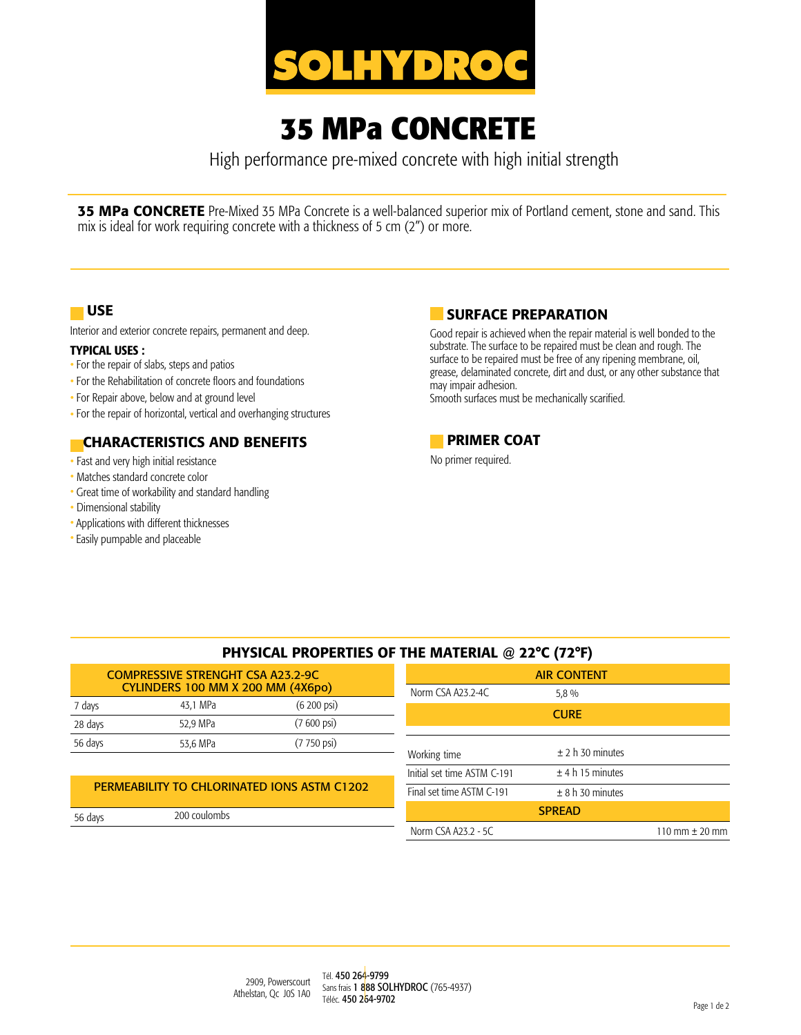

# **35 MPa CONCRETE**

High performance pre-mixed concrete with high initial strength

**35 MPa CONCRETE** Pre-Mixed 35 MPa Concrete is a well-balanced superior mix of Portland cement, stone and sand. This mix is ideal for work requiring concrete with a thickness of 5 cm (2") or more.

### USE

Interior and exterior concrete repairs, permanent and deep.

#### TYPICAL USES :

- For the repair of slabs, steps and patios
- For the Rehabilitation of concrete floors and foundations
- For Repair above, below and at ground level
- For the repair of horizontal, vertical and overhanging structures

# CHARACTERISTICS AND BENEFITS

- Fast and very high initial resistance
- Matches standard concrete color
- Great time of workability and standard handling
- Dimensional stability
- Applications with different thicknesses
- Easily pumpable and placeable

# SURFACE PREPARATION

Good repair is achieved when the repair material is well bonded to the substrate. The surface to be repaired must be clean and rough. The surface to be repaired must be free of any ripening membrane, oil, grease, delaminated concrete, dirt and dust, or any other substance that may impair adhesion.

Smooth surfaces must be mechanically scarified.



No primer required.

| PHYSICAL PROPERTIES OF THE MATERIAL @ 22°C (72°F)                             |          |                         |                   |                  |  |  |
|-------------------------------------------------------------------------------|----------|-------------------------|-------------------|------------------|--|--|
| <b>COMPRESSIVE STRENGHT CSA A23.2-9C</b><br>CYLINDERS 100 MM X 200 MM (4X6po) |          |                         |                   | <b>AIR CONTE</b> |  |  |
|                                                                               |          |                         | Norm CSA A23.2-4C | 5.8 %            |  |  |
| 7 days                                                                        | 43.1 MPa | $(6, 200)$ psi          |                   | <b>CURE</b>      |  |  |
| 28 days                                                                       | 52.9 MPa | $(7600 \,\text{psi})$   |                   |                  |  |  |
| 56 days                                                                       | 53,6 MPa | $(7750 \,\mathrm{psi})$ |                   |                  |  |  |

#### PERMEABILITY TO CHLORINATED IONS ASTM C1202

| 56 days | 200 coulombs |
|---------|--------------|
|         |              |

| <b>AIR CONTENT</b>          |                    |                                    |  |  |  |
|-----------------------------|--------------------|------------------------------------|--|--|--|
| Norm CSA A23.2-4C           | 5,8 %              |                                    |  |  |  |
|                             | <b>CURE</b>        |                                    |  |  |  |
|                             |                    |                                    |  |  |  |
| Working time                | $±$ 2 h 30 minutes |                                    |  |  |  |
| Initial set time ASTM C-191 | $±$ 4 h 15 minutes |                                    |  |  |  |
| Final set time ASTM C-191   | ± 8 h 30 minutes   |                                    |  |  |  |
|                             | <b>SPREAD</b>      |                                    |  |  |  |
| Norm CSA A23.2 - 5C         |                    | $110 \text{ mm} \pm 20 \text{ mm}$ |  |  |  |